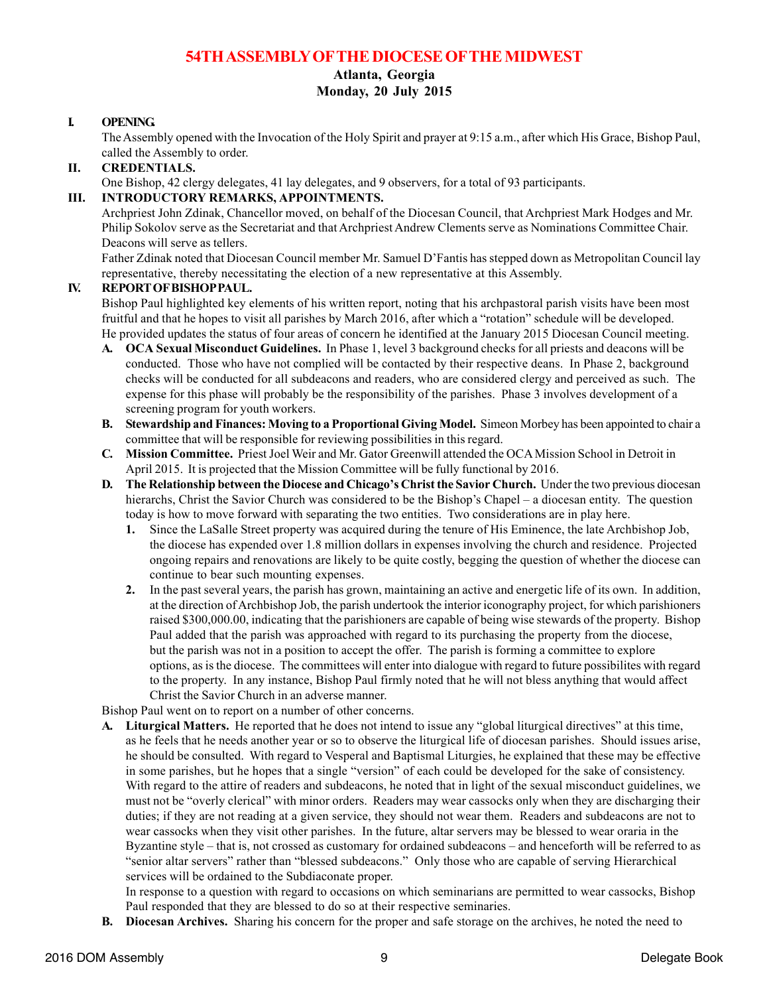# **54TH ASSEMBLY OFTHE DIOCESE OFTHE MIDWEST**

# **Atlanta, Georgia**

**Monday, 20 July 2015**

#### **I. OPENING.**

The Assembly opened with the Invocation of the Holy Spirit and prayer at 9:15 a.m., after which His Grace, Bishop Paul, called the Assembly to order.

### **II. CREDENTIALS.**

One Bishop, 42 clergy delegates, 41 lay delegates, and 9 observers, for a total of 93 participants.

#### **III. INTRODUCTORY REMARKS, APPOINTMENTS.**

Archpriest John Zdinak, Chancellor moved, on behalf of the Diocesan Council, that Archpriest Mark Hodges and Mr. Philip Sokolov serve as the Secretariat and that Archpriest Andrew Clements serve as Nominations Committee Chair. Deacons will serve as tellers.

Father Zdinak noted that Diocesan Council member Mr. Samuel D'Fantis has stepped down as Metropolitan Council lay representative, thereby necessitating the election of a new representative at this Assembly.

#### **IV. REPORT OF BISHOP PAUL.**

Bishop Paul highlighted key elements of his written report, noting that his archpastoral parish visits have been most fruitful and that he hopes to visit all parishes by March 2016, after which a "rotation" schedule will be developed. He provided updates the status of four areas of concern he identified at the January 2015 Diocesan Council meeting.

- **A. OCA Sexual Misconduct Guidelines.** In Phase 1, level 3 background checks for all priests and deacons will be conducted. Those who have not complied will be contacted by their respective deans. In Phase 2, background checks will be conducted for all subdeacons and readers, who are considered clergy and perceived as such. The expense for this phase will probably be the responsibility of the parishes. Phase 3 involves development of a screening program for youth workers.
- **B. Stewardship and Finances: Moving to a Proportional Giving Model.** Simeon Morbey has been appointed to chair a committee that will be responsible for reviewing possibilities in this regard.
- **C. Mission Committee.** Priest Joel Weir and Mr. Gator Greenwill attended the OCA Mission School in Detroit in April 2015. It is projected that the Mission Committee will be fully functional by 2016.
- **D. The Relationship between the Diocese and Chicago's Christ the Savior Church.** Under the two previous diocesan hierarchs, Christ the Savior Church was considered to be the Bishop's Chapel – a diocesan entity. The question today is how to move forward with separating the two entities. Two considerations are in play here.
	- **1.** Since the LaSalle Street property was acquired during the tenure of His Eminence, the late Archbishop Job, the diocese has expended over 1.8 million dollars in expenses involving the church and residence. Projected ongoing repairs and renovations are likely to be quite costly, begging the question of whether the diocese can continue to bear such mounting expenses.
	- **2.** In the past several years, the parish has grown, maintaining an active and energetic life of its own. In addition, at the direction of Archbishop Job, the parish undertook the interior iconography project, for which parishioners raised \$300,000.00, indicating that the parishioners are capable of being wise stewards of the property. Bishop Paul added that the parish was approached with regard to its purchasing the property from the diocese, but the parish was not in a position to accept the offer. The parish is forming a committee to explore options, as is the diocese. The committees will enter into dialogue with regard to future possibilites with regard to the property. In any instance, Bishop Paul firmly noted that he will not bless anything that would affect Christ the Savior Church in an adverse manner.

Bishop Paul went on to report on a number of other concerns.

**A. Liturgical Matters.** He reported that he does not intend to issue any "global liturgical directives" at this time, as he feels that he needs another year or so to observe the liturgical life of diocesan parishes. Should issues arise, he should be consulted. With regard to Vesperal and Baptismal Liturgies, he explained that these may be effective in some parishes, but he hopes that a single "version" of each could be developed for the sake of consistency. With regard to the attire of readers and subdeacons, he noted that in light of the sexual misconduct guidelines, we must not be "overly clerical" with minor orders. Readers may wear cassocks only when they are discharging their duties; if they are not reading at a given service, they should not wear them. Readers and subdeacons are not to wear cassocks when they visit other parishes. In the future, altar servers may be blessed to wear oraria in the Byzantine style – that is, not crossed as customary for ordained subdeacons – and henceforth will be referred to as "senior altar servers" rather than "blessed subdeacons." Only those who are capable of serving Hierarchical services will be ordained to the Subdiaconate proper.

In response to a question with regard to occasions on which seminarians are permitted to wear cassocks, Bishop Paul responded that they are blessed to do so at their respective seminaries.

**B. Diocesan Archives.** Sharing his concern for the proper and safe storage on the archives, he noted the need to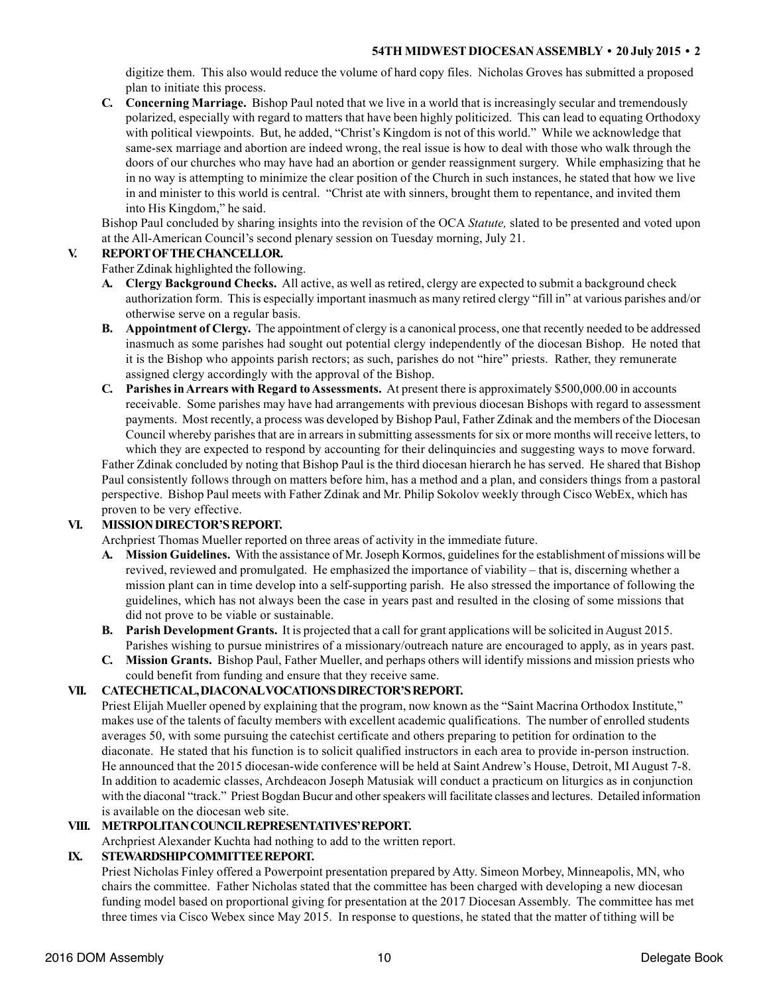digitize them. This also would reduce the volume of hard copy files. Nicholas Groves has submitted a proposed plan to initiate this process.

**C. Concerning Marriage.** Bishop Paul noted that we live in a world that is increasingly secular and tremendously polarized, especially with regard to matters that have been highly politicized. This can lead to equating Orthodoxy with political viewpoints. But, he added, "Christ's Kingdom is not of this world." While we acknowledge that same-sex marriage and abortion are indeed wrong, the real issue is how to deal with those who walk through the doors of our churches who may have had an abortion or gender reassignment surgery. While emphasizing that he in no way is attempting to minimize the clear position of the Church in such instances, he stated that how we live in and minister to this world is central. "Christ ate with sinners, brought them to repentance, and invited them into His Kingdom," he said.

Bishop Paul concluded by sharing insights into the revision of the OCA *Statute,* slated to be presented and voted upon at the All-American Council's second plenary session on Tuesday morning, July 21.

# **V. REPORT OF THE CHANCELLOR.**

Father Zdinak highlighted the following.

- **A. Clergy Background Checks.** All active, as well as retired, clergy are expected to submit a background check authorization form. This is especially important inasmuch as many retired clergy "fill in" at various parishes and/or otherwise serve on a regular basis.
- **B. Appointment of Clergy.** The appointment of clergy is a canonical process, one that recently needed to be addressed inasmuch as some parishes had sought out potential clergy independently of the diocesan Bishop. He noted that it is the Bishop who appoints parish rectors; as such, parishes do not "hire" priests. Rather, they remunerate assigned clergy accordingly with the approval of the Bishop.
- **C. Parishes in Arrears with Regard to Assessments.** At present there is approximately \$500,000.00 in accounts receivable. Some parishes may have had arrangements with previous diocesan Bishops with regard to assessment payments. Most recently, a process was developed by Bishop Paul, Father Zdinak and the members of the Diocesan Council whereby parishes that are in arrears in submitting assessments for six or more months will receive letters, to which they are expected to respond by accounting for their delinquincies and suggesting ways to move forward.

Father Zdinak concluded by noting that Bishop Paul is the third diocesan hierarch he has served. He shared that Bishop Paul consistently follows through on matters before him, has a method and a plan, and considers things from a pastoral perspective. Bishop Paul meets with Father Zdinak and Mr. Philip Sokolov weekly through Cisco WebEx, which has proven to be very effective.

## **VI. MISSION DIRECTOR'S REPORT.**

Archpriest Thomas Mueller reported on three areas of activity in the immediate future.

- **A. Mission Guidelines.** With the assistance of Mr. Joseph Kormos, guidelines for the establishment of missions will be revived, reviewed and promulgated. He emphasized the importance of viability – that is, discerning whether a mission plant can in time develop into a self-supporting parish. He also stressed the importance of following the guidelines, which has not always been the case in years past and resulted in the closing of some missions that did not prove to be viable or sustainable.
- **B. Parish Development Grants.** It is projected that a call for grant applications will be solicited in August 2015. Parishes wishing to pursue ministrires of a missionary/outreach nature are encouraged to apply, as in years past.
- **C. Mission Grants.** Bishop Paul, Father Mueller, and perhaps others will identify missions and mission priests who could benefit from funding and ensure that they receive same.

## **VII. CATECHETICAL, DIACONALVOCATIONS DIRECTOR'S REPORT.**

Priest Elijah Mueller opened by explaining that the program, now known as the "Saint Macrina Orthodox Institute," makes use of the talents of faculty members with excellent academic qualifications. The number of enrolled students averages 50, with some pursuing the catechist certificate and others preparing to petition for ordination to the diaconate. He stated that his function is to solicit qualified instructors in each area to provide in-person instruction. He announced that the 2015 diocesan-wide conference will be held at Saint Andrew's House, Detroit, MI August 7-8. In addition to academic classes, Archdeacon Joseph Matusiak will conduct a practicum on liturgics as in conjunction with the diaconal "track." Priest Bogdan Bucur and other speakers will facilitate classes and lectures. Detailed information is available on the diocesan web site.

## **VIII. METRPOLITAN COUNCIL REPRESENTATIVES' REPORT.**

Archpriest Alexander Kuchta had nothing to add to the written report.

## **IX. STEWARDSHIP COMMITTEE REPORT.**

Priest Nicholas Finley offered a Powerpoint presentation prepared by Atty. Simeon Morbey, Minneapolis, MN, who chairs the committee. Father Nicholas stated that the committee has been charged with developing a new diocesan funding model based on proportional giving for presentation at the 2017 Diocesan Assembly. The committee has met three times via Cisco Webex since May 2015. In response to questions, he stated that the matter of tithing will be